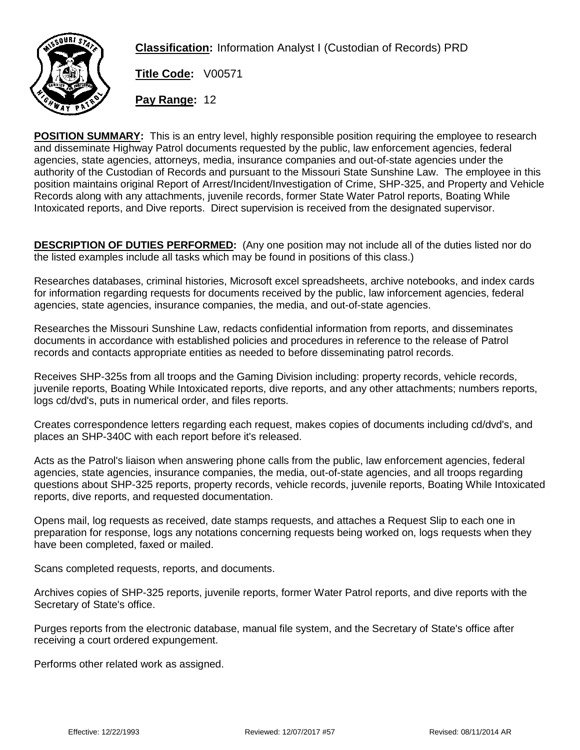

**Classification:** Information Analyst I (Custodian of Records) PRD

**Title Code:** V00571

**Pay Range:** 12

**POSITION SUMMARY:** This is an entry level, highly responsible position requiring the employee to research and disseminate Highway Patrol documents requested by the public, law enforcement agencies, federal agencies, state agencies, attorneys, media, insurance companies and out-of-state agencies under the authority of the Custodian of Records and pursuant to the Missouri State Sunshine Law. The employee in this position maintains original Report of Arrest/Incident/Investigation of Crime, SHP-325, and Property and Vehicle Records along with any attachments, juvenile records, former State Water Patrol reports, Boating While Intoxicated reports, and Dive reports. Direct supervision is received from the designated supervisor.

**DESCRIPTION OF DUTIES PERFORMED:** (Any one position may not include all of the duties listed nor do the listed examples include all tasks which may be found in positions of this class.)

Researches databases, criminal histories, Microsoft excel spreadsheets, archive notebooks, and index cards for information regarding requests for documents received by the public, law inforcement agencies, federal agencies, state agencies, insurance companies, the media, and out-of-state agencies.

Researches the Missouri Sunshine Law, redacts confidential information from reports, and disseminates documents in accordance with established policies and procedures in reference to the release of Patrol records and contacts appropriate entities as needed to before disseminating patrol records.

Receives SHP-325s from all troops and the Gaming Division including: property records, vehicle records, juvenile reports, Boating While Intoxicated reports, dive reports, and any other attachments; numbers reports, logs cd/dvd's, puts in numerical order, and files reports.

Creates correspondence letters regarding each request, makes copies of documents including cd/dvd's, and places an SHP-340C with each report before it's released.

Acts as the Patrol's liaison when answering phone calls from the public, law enforcement agencies, federal agencies, state agencies, insurance companies, the media, out-of-state agencies, and all troops regarding questions about SHP-325 reports, property records, vehicle records, juvenile reports, Boating While Intoxicated reports, dive reports, and requested documentation.

Opens mail, log requests as received, date stamps requests, and attaches a Request Slip to each one in preparation for response, logs any notations concerning requests being worked on, logs requests when they have been completed, faxed or mailed.

Scans completed requests, reports, and documents.

Archives copies of SHP-325 reports, juvenile reports, former Water Patrol reports, and dive reports with the Secretary of State's office.

Purges reports from the electronic database, manual file system, and the Secretary of State's office after receiving a court ordered expungement.

Performs other related work as assigned.